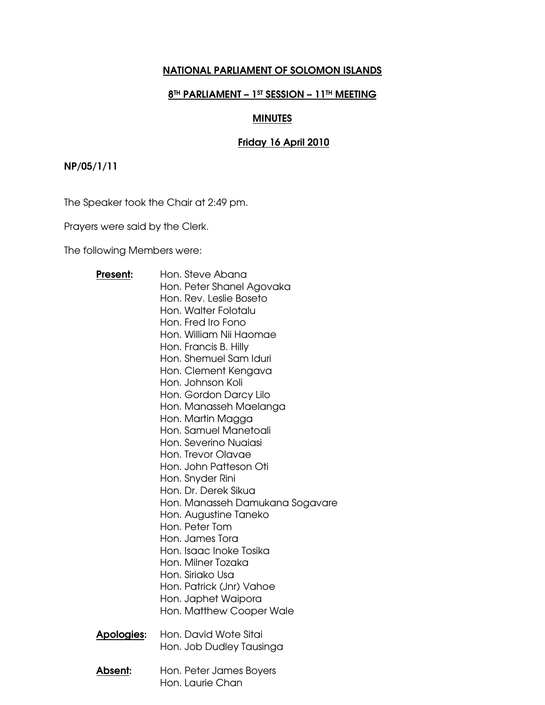# NATIONAL PARLIAMENT OF SOLOMON ISLANDS

# 8TH PARLIAMENT - 1ST SESSION - 11TH MEETING

# MINUTES

# Friday 16 April 2010

# NP/05/1/11

The Speaker took the Chair at 2:49 pm.

Prayers were said by the Clerk.

The following Members were:

| Present:           | Hon. Steve Abana                |  |  |  |  |
|--------------------|---------------------------------|--|--|--|--|
|                    | Hon. Peter Shanel Agovaka       |  |  |  |  |
|                    | Hon. Rev. Leslie Boseto         |  |  |  |  |
|                    | Hon, Walter Folotalu            |  |  |  |  |
|                    | Hon, Fred Iro Fono              |  |  |  |  |
|                    | Hon. William Nii Haomae         |  |  |  |  |
|                    | Hon. Francis B. Hilly           |  |  |  |  |
|                    | Hon, Shemuel Sam Iduri          |  |  |  |  |
|                    | Hon. Clement Kengava            |  |  |  |  |
|                    | Hon, Johnson Koli               |  |  |  |  |
|                    | Hon. Gordon Darcy Lilo          |  |  |  |  |
|                    | Hon. Manasseh Maelanga          |  |  |  |  |
|                    | Hon. Martin Magga               |  |  |  |  |
|                    | Hon. Samuel Manetoali           |  |  |  |  |
|                    | Hon, Severino Nuaiasi           |  |  |  |  |
|                    | Hon. Trevor Olavae              |  |  |  |  |
|                    | Hon. John Patteson Oti          |  |  |  |  |
|                    | Hon. Snyder Rini                |  |  |  |  |
|                    | Hon, Dr. Derek Sikua            |  |  |  |  |
|                    | Hon. Manasseh Damukana Sogavare |  |  |  |  |
|                    | Hon. Augustine Taneko           |  |  |  |  |
|                    | Hon. Peter Tom                  |  |  |  |  |
|                    | Hon, James Tora                 |  |  |  |  |
|                    | Hon, Isaac Inoke Tosika         |  |  |  |  |
|                    | Hon. Milner Tozaka              |  |  |  |  |
|                    | Hon, Siriako Usa                |  |  |  |  |
|                    | Hon. Patrick (Jnr) Vahoe        |  |  |  |  |
|                    | Hon. Japhet Waipora             |  |  |  |  |
|                    | Hon. Matthew Cooper Wale        |  |  |  |  |
| <u> Apologies:</u> | Hon. David Wote Sitai           |  |  |  |  |
|                    | Hon. Job Dudley Tausinga        |  |  |  |  |
|                    |                                 |  |  |  |  |
| Absent:            | Hon. Peter James Boyers         |  |  |  |  |
|                    | Hon. Laurie Chan                |  |  |  |  |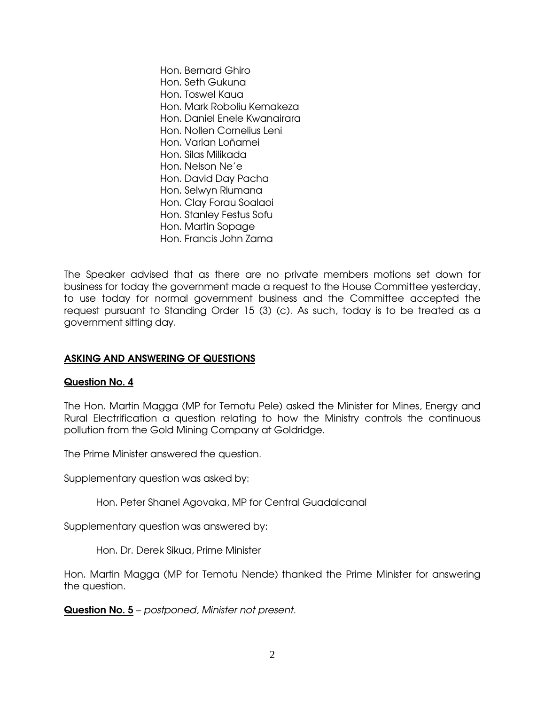Hon. Bernard Ghiro Hon. Seth Gukuna Hon. Toswel Kaua Hon. Mark Roboliu Kemakeza Hon. Daniel Enele Kwanairara Hon. Nollen Cornelius Leni Hon. Varian Loñamei Hon. Silas Milikada Hon. Nelson Ne'e Hon. David Day Pacha Hon. Selwyn Riumana Hon. Clay Forau Soalaoi Hon. Stanley Festus Sofu Hon. Martin Sopage Hon. Francis John Zama

The Speaker advised that as there are no private members motions set down for business for today the government made a request to the House Committee yesterday, to use today for normal government business and the Committee accepted the request pursuant to Standing Order 15 (3) (c). As such, today is to be treated as a government sitting day.

## ASKING AND ANSWERING OF QUESTIONS

## Question No. 4

The Hon. Martin Magga (MP for Temotu Pele) asked the Minister for Mines, Energy and Rural Electrification a question relating to how the Ministry controls the continuous pollution from the Gold Mining Company at Goldridge.

The Prime Minister answered the question.

Supplementary question was asked by:

Hon. Peter Shanel Agovaka, MP for Central Guadalcanal

Supplementary question was answered by:

Hon. Dr. Derek Sikua, Prime Minister

Hon. Martin Magga (MP for Temotu Nende) thanked the Prime Minister for answering the question.

Question No. 5 – postponed, Minister not present.